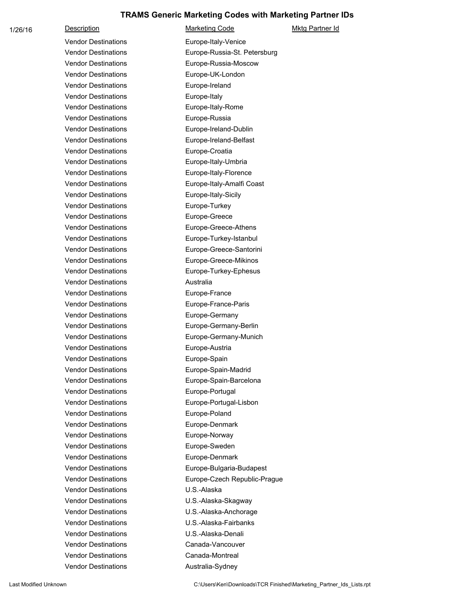1/26/16 Description Description Marketing Code Mktg Partner Id Vendor Destinations Europe-Italy-Venice Vendor Destinations Europe-Russia-St. Petersburg Vendor Destinations Europe-Russia-Moscow Vendor Destinations **Europe-UK-London** Vendor Destinations **Europe-Ireland** Vendor Destinations **Europe-Italy** Vendor Destinations **Europe-Italy-Rome** Vendor Destinations **Europe-Russia** Vendor Destinations Europe-Ireland-Dublin Vendor Destinations Europe-Ireland-Belfast Vendor Destinations **Europe-Croatia** Vendor Destinations **Europe-Italy-Umbria** Vendor Destinations Europe-Italy-Florence Vendor Destinations Europe-Italy-Amalfi Coast Vendor Destinations Europe-Italy-Sicily Vendor Destinations **Europe-Turkey** Vendor Destinations **Europe-Greece** Vendor Destinations Europe-Greece-Athens Vendor Destinations Europe-Turkey-Istanbul Vendor Destinations Europe-Greece-Santorini Vendor Destinations Europe-Greece-Mikinos Vendor Destinations Europe-Turkey-Ephesus Vendor Destinations **Australia** Vendor Destinations **Europe-France** Vendor Destinations **Europe-France-Paris** Vendor Destinations **Europe-Germany** Vendor Destinations Europe-Germany-Berlin Vendor Destinations Europe-Germany-Munich Vendor Destinations **Europe-Austria** Vendor Destinations **Europe-Spain** Vendor Destinations Europe-Spain-Madrid Vendor Destinations **Europe-Spain-Barcelona** Vendor Destinations **Europe-Portugal** Vendor Destinations Europe-Portugal-Lisbon Vendor Destinations **Europe-Poland** Vendor Destinations **Europe-Denmark** Vendor Destinations **Europe-Norway** Vendor Destinations **Europe-Sweden** Vendor Destinations **Europe-Denmark** Vendor Destinations Europe-Bulgaria-Budapest Vendor Destinations Europe-Czech Republic-Prague Vendor Destinations U.S.-Alaska Vendor Destinations U.S.-Alaska-Skagway Vendor Destinations U.S.-Alaska-Anchorage Vendor Destinations U.S.-Alaska-Fairbanks Vendor Destinations U.S.-Alaska-Denali Vendor Destinations Canada-Vancouver Vendor Destinations Canada-Montreal Vendor Destinations **Australia-Sydney** 

Last Modified Unknown **C:\Users\Ken\Downloads\TCR Finished\Marketing** Partner\_Ids\_Lists.rpt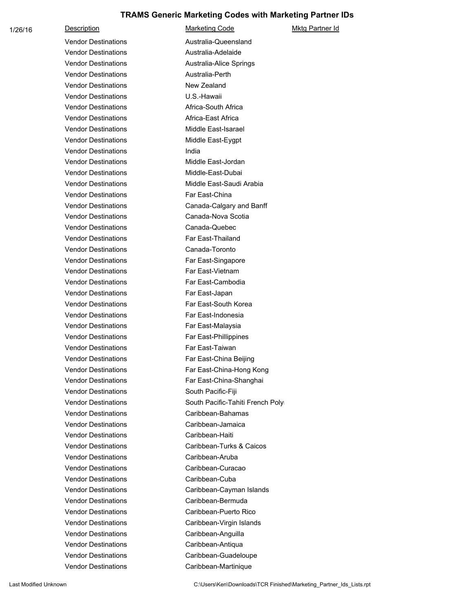1/26/16 Description Description Marketing Code Mktg Partner Id Vendor Destinations **Australia-Queensland** Vendor Destinations **Australia-Adelaide** Vendor Destinations **Australia-Alice Springs** Vendor Destinations **Australia-Perth** Vendor Destinations New Zealand Vendor Destinations U.S.-Hawaii Vendor Destinations **Africa-South Africa** Vendor Destinations **Africa-East Africa** Vendor Destinations **Middle East-Isarael** Vendor Destinations Middle East-Eygpt Vendor Destinations **India** Vendor Destinations Middle East-Jordan Vendor Destinations Middle-East-Dubai Vendor Destinations Middle East-Saudi Arabia Vendor Destinations Far East-China Vendor Destinations Canada-Calgary and Banff Vendor Destinations Canada-Nova Scotia Vendor Destinations Canada-Quebec Vendor Destinations Far East-Thailand Vendor Destinations Canada-Toronto Vendor Destinations Far East-Singapore Vendor Destinations Far East-Vietnam Vendor Destinations Far East-Cambodia Vendor Destinations Far East-Japan Vendor Destinations Far East-South Korea Vendor Destinations Far East-Indonesia Vendor Destinations Far East-Malaysia Vendor Destinations Far East-Phillippines Vendor Destinations Far East-Taiwan Vendor Destinations Far East-China Beijing Vendor Destinations Far East-China-Hong Kong Vendor Destinations Far East-China-Shanghai Vendor Destinations South Pacific-Fiji Vendor Destinations South Pacific-Tahiti French Polynesia Vendor Destinations Caribbean-Bahamas Vendor Destinations Caribbean-Jamaica Vendor Destinations Caribbean-Haiti Vendor Destinations Caribbean-Turks & Caicos Vendor Destinations Caribbean-Aruba Vendor Destinations Caribbean-Curacao Vendor Destinations Caribbean-Cuba Vendor Destinations Caribbean-Cayman Islands Vendor Destinations Caribbean-Bermuda Vendor Destinations Caribbean-Puerto Rico Vendor Destinations Caribbean-Virgin Islands Vendor Destinations Caribbean-Anguilla Vendor Destinations Caribbean-Antiqua Vendor Destinations Caribbean-Guadeloupe Vendor Destinations Caribbean-Martinique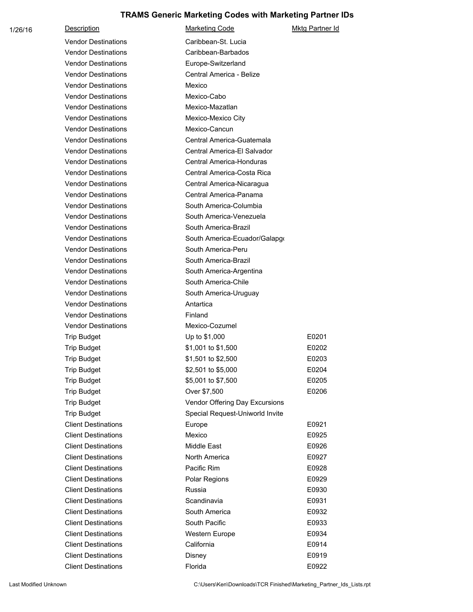| 1/26/16 | Description                | <b>Marketing Code</b>           | Mktg Partner Id |
|---------|----------------------------|---------------------------------|-----------------|
|         | <b>Vendor Destinations</b> | Caribbean-St. Lucia             |                 |
|         | <b>Vendor Destinations</b> | Caribbean-Barbados              |                 |
|         | <b>Vendor Destinations</b> | Europe-Switzerland              |                 |
|         | <b>Vendor Destinations</b> | Central America - Belize        |                 |
|         | <b>Vendor Destinations</b> | Mexico                          |                 |
|         | <b>Vendor Destinations</b> | Mexico-Cabo                     |                 |
|         | <b>Vendor Destinations</b> | Mexico-Mazatlan                 |                 |
|         | <b>Vendor Destinations</b> | Mexico-Mexico City              |                 |
|         | <b>Vendor Destinations</b> | Mexico-Cancun                   |                 |
|         | <b>Vendor Destinations</b> | Central America-Guatemala       |                 |
|         | <b>Vendor Destinations</b> | Central America-El Salvador     |                 |
|         | <b>Vendor Destinations</b> | Central America-Honduras        |                 |
|         | <b>Vendor Destinations</b> | Central America-Costa Rica      |                 |
|         | <b>Vendor Destinations</b> | Central America-Nicaragua       |                 |
|         | <b>Vendor Destinations</b> | Central America-Panama          |                 |
|         | <b>Vendor Destinations</b> | South America-Columbia          |                 |
|         | <b>Vendor Destinations</b> | South America-Venezuela         |                 |
|         | <b>Vendor Destinations</b> | South America-Brazil            |                 |
|         | <b>Vendor Destinations</b> | South America-Ecuador/Galapgo   |                 |
|         | <b>Vendor Destinations</b> | South America-Peru              |                 |
|         | <b>Vendor Destinations</b> | South America-Brazil            |                 |
|         | <b>Vendor Destinations</b> | South America-Argentina         |                 |
|         | <b>Vendor Destinations</b> | South America-Chile             |                 |
|         | <b>Vendor Destinations</b> | South America-Uruguay           |                 |
|         | <b>Vendor Destinations</b> | Antartica                       |                 |
|         | <b>Vendor Destinations</b> | Finland                         |                 |
|         | <b>Vendor Destinations</b> | Mexico-Cozumel                  |                 |
|         | <b>Trip Budget</b>         | Up to \$1,000                   | E0201           |
|         | <b>Trip Budget</b>         | \$1,001 to \$1,500              | E0202           |
|         | <b>Trip Budget</b>         | \$1,501 to \$2,500              | E0203           |
|         | <b>Trip Budget</b>         | \$2,501 to \$5,000              | E0204           |
|         | <b>Trip Budget</b>         | \$5,001 to \$7,500              | E0205           |
|         | <b>Trip Budget</b>         | Over \$7,500                    | E0206           |
|         | <b>Trip Budget</b>         | Vendor Offering Day Excursions  |                 |
|         | <b>Trip Budget</b>         | Special Request-Uniworld Invite |                 |
|         | <b>Client Destinations</b> | Europe                          | E0921           |
|         | <b>Client Destinations</b> | Mexico                          | E0925           |
|         | <b>Client Destinations</b> | Middle East                     | E0926           |
|         | <b>Client Destinations</b> | North America                   | E0927           |
|         | <b>Client Destinations</b> | Pacific Rim                     | E0928           |
|         | <b>Client Destinations</b> | Polar Regions                   | E0929           |
|         | <b>Client Destinations</b> | Russia                          | E0930           |
|         | <b>Client Destinations</b> | Scandinavia                     | E0931           |
|         | <b>Client Destinations</b> | South America                   | E0932           |
|         | <b>Client Destinations</b> | South Pacific                   | E0933           |
|         | <b>Client Destinations</b> | Western Europe                  | E0934           |
|         | <b>Client Destinations</b> | California                      | E0914           |
|         | <b>Client Destinations</b> | Disney                          | E0919           |
|         | <b>Client Destinations</b> | Florida                         | E0922           |

Last Modified Unknown **C:\Users\Ken\Downloads\TCR Finished\Marketing\_Partner\_Ids\_Lists.rpt**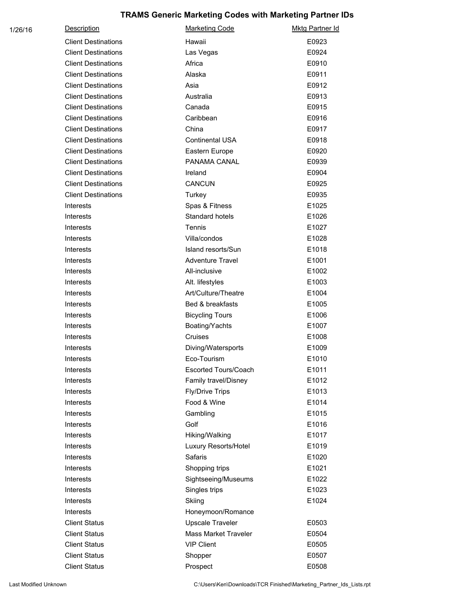| 1/26/16 | <b>Description</b>         | <b>Marketing Code</b>       | <b>Mktg Partner Id</b> |
|---------|----------------------------|-----------------------------|------------------------|
|         | <b>Client Destinations</b> | Hawaii                      | E0923                  |
|         | <b>Client Destinations</b> | Las Vegas                   | E0924                  |
|         | <b>Client Destinations</b> | Africa                      | E0910                  |
|         | <b>Client Destinations</b> | Alaska                      | E0911                  |
|         | <b>Client Destinations</b> | Asia                        | E0912                  |
|         | <b>Client Destinations</b> | Australia                   | E0913                  |
|         | <b>Client Destinations</b> | Canada                      | E0915                  |
|         | <b>Client Destinations</b> | Caribbean                   | E0916                  |
|         | <b>Client Destinations</b> | China                       | E0917                  |
|         | <b>Client Destinations</b> | <b>Continental USA</b>      | E0918                  |
|         | <b>Client Destinations</b> | Eastern Europe              | E0920                  |
|         | <b>Client Destinations</b> | PANAMA CANAL                | E0939                  |
|         | <b>Client Destinations</b> | Ireland                     | E0904                  |
|         | <b>Client Destinations</b> | <b>CANCUN</b>               | E0925                  |
|         | <b>Client Destinations</b> | Turkey                      | E0935                  |
|         | <b>Interests</b>           | Spas & Fitness              | E1025                  |
|         | <b>Interests</b>           | Standard hotels             | E1026                  |
|         | Interests                  | Tennis                      | E1027                  |
|         | Interests                  | Villa/condos                | E1028                  |
|         | Interests                  | Island resorts/Sun          | E1018                  |
|         | Interests                  | <b>Adventure Travel</b>     | E1001                  |
|         | <b>Interests</b>           | All-inclusive               | E1002                  |
|         | Interests                  | Alt. lifestyles             | E1003                  |
|         | <b>Interests</b>           | Art/Culture/Theatre         | E1004                  |
|         | Interests                  | Bed & breakfasts            | E1005                  |
|         | <b>Interests</b>           | <b>Bicycling Tours</b>      | E1006                  |
|         | Interests                  | Boating/Yachts              | E1007                  |
|         | Interests                  | Cruises                     | E1008                  |
|         | Interests                  | Diving/Watersports          | E1009                  |
|         | Interests                  | Eco-Tourism                 | E1010                  |
|         | Interests                  | Escorted Tours/Coach        | E1011                  |
|         | Interests                  | Family travel/Disney        | E1012                  |
|         | Interests                  | <b>Fly/Drive Trips</b>      | E1013                  |
|         | <b>Interests</b>           | Food & Wine                 | E1014                  |
|         | Interests                  | Gambling                    | E1015                  |
|         | <b>Interests</b>           | Golf                        | E1016                  |
|         | <b>Interests</b>           | Hiking/Walking              | E1017                  |
|         | Interests                  | Luxury Resorts/Hotel        | E1019                  |
|         | <b>Interests</b>           | Safaris                     | E1020                  |
|         | <b>Interests</b>           | Shopping trips              | E1021                  |
|         | <b>Interests</b>           | Sightseeing/Museums         | E1022                  |
|         | <b>Interests</b>           | Singles trips               | E1023                  |
|         | <b>Interests</b>           | Skiing                      | E1024                  |
|         | <b>Interests</b>           | Honeymoon/Romance           |                        |
|         | <b>Client Status</b>       | <b>Upscale Traveler</b>     | E0503                  |
|         | <b>Client Status</b>       | <b>Mass Market Traveler</b> | E0504                  |
|         | <b>Client Status</b>       | <b>VIP Client</b>           | E0505                  |
|         | <b>Client Status</b>       | Shopper                     | E0507                  |
|         | <b>Client Status</b>       | Prospect                    | E0508                  |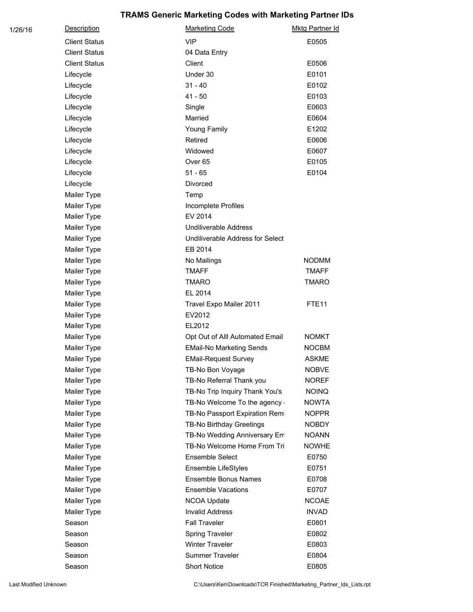| 1/26/16 | <b>Description</b>   | <b>Marketing Code</b>            | <b>Mktg Partner Id</b> |
|---------|----------------------|----------------------------------|------------------------|
|         | <b>Client Status</b> | <b>VIP</b>                       | E0505                  |
|         | <b>Client Status</b> | 04 Data Entry                    |                        |
|         | <b>Client Status</b> | Client                           | E0506                  |
|         | Lifecycle            | Under 30                         | E0101                  |
|         | Lifecycle            | $31 - 40$                        | E0102                  |
|         | Lifecycle            | $41 - 50$                        | E0103                  |
|         | Lifecycle            | Single                           | E0603                  |
|         | Lifecycle            | Married                          | E0604                  |
|         | Lifecycle            | Young Family                     | E1202                  |
|         | Lifecycle            | Retired                          | E0606                  |
|         | Lifecycle            | Widowed                          | E0607                  |
|         | Lifecycle            | Over <sub>65</sub>               | E0105                  |
|         | Lifecycle            | $51 - 65$                        | E0104                  |
|         | Lifecycle            | Divorced                         |                        |
|         | Mailer Type          | Temp                             |                        |
|         | Mailer Type          | Incomplete Profiles              |                        |
|         | Mailer Type          | EV 2014                          |                        |
|         | Mailer Type          | <b>Undiliverable Address</b>     |                        |
|         | Mailer Type          | Undiliverable Address for Select |                        |
|         | Mailer Type          | EB 2014                          |                        |
|         | Mailer Type          | No Mailings                      | <b>NODMM</b>           |
|         | Mailer Type          | <b>TMAFF</b>                     | <b>TMAFF</b>           |
|         | Mailer Type          | <b>TMARO</b>                     | <b>TMARO</b>           |
|         | Mailer Type          | EL 2014                          |                        |
|         | Mailer Type          | Travel Expo Mailer 2011          | FTE <sub>11</sub>      |
|         | Mailer Type          | EV2012                           |                        |
|         | Mailer Type          | EL2012                           |                        |
|         | Mailer Type          | Opt Out of Alll Automated Email  | <b>NOMKT</b>           |
|         | Mailer Type          | <b>EMail-No Marketing Sends</b>  | <b>NOCBM</b>           |
|         | Mailer Type          | <b>EMail-Request Survey</b>      | <b>ASKME</b>           |
|         | Mailer Type          | TB-No Bon Voyage                 | <b>NOBVE</b>           |
|         | Mailer Type          | TB-No Referral Thank you         | <b>NOREF</b>           |
|         | Mailer Type          | TB-No Trip Inquiry Thank You's   | <b>NOINQ</b>           |
|         | Mailer Type          | TB-No Welcome To the agency      | <b>NOWTA</b>           |
|         | Mailer Type          | TB-No Passport Expiration Remi   | <b>NOPPR</b>           |
|         | Mailer Type          | TB-No Birthday Greetings         | NOBDY                  |
|         | Mailer Type          | TB-No Wedding Anniversary Em     | <b>NOANN</b>           |
|         | Mailer Type          | TB-No Welcome Home From Tri      | <b>NOWHE</b>           |
|         | Mailer Type          | Ensemble Select                  | E0750                  |
|         | Mailer Type          | Ensemble LifeStyles              | E0751                  |
|         | Mailer Type          | <b>Ensemble Bonus Names</b>      | E0708                  |
|         | Mailer Type          | <b>Ensemble Vacations</b>        | E0707                  |
|         | Mailer Type          | NCOA Update                      | <b>NCOAE</b>           |
|         | Mailer Type          | <b>Invalid Address</b>           | <b>INVAD</b>           |
|         | Season               | <b>Fall Traveler</b>             | E0801                  |
|         | Season               | <b>Spring Traveler</b>           | E0802                  |
|         | Season               | <b>Winter Traveler</b>           | E0803                  |
|         | Season               | <b>Summer Traveler</b>           | E0804                  |
|         | Season               | <b>Short Notice</b>              | E0805                  |
|         |                      |                                  |                        |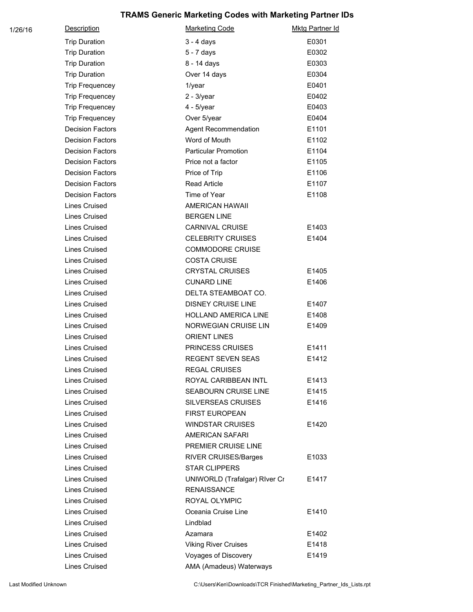| 1/26/16 | <b>Description</b>      | <b>Marketing Code</b>         | Mktg Partner Id |
|---------|-------------------------|-------------------------------|-----------------|
|         | <b>Trip Duration</b>    | $3 - 4$ days                  | E0301           |
|         | <b>Trip Duration</b>    | 5 - 7 days                    | E0302           |
|         | <b>Trip Duration</b>    | 8 - 14 days                   | E0303           |
|         | <b>Trip Duration</b>    | Over 14 days                  | E0304           |
|         | <b>Trip Frequencey</b>  | 1/year                        | E0401           |
|         | <b>Trip Frequencey</b>  | $2 - 3$ /year                 | E0402           |
|         | <b>Trip Frequencey</b>  | $4 - 5$ /year                 | E0403           |
|         | <b>Trip Frequencey</b>  | Over 5/year                   | E0404           |
|         | <b>Decision Factors</b> | Agent Recommendation          | E1101           |
|         | <b>Decision Factors</b> | Word of Mouth                 | E1102           |
|         | <b>Decision Factors</b> | <b>Particular Promotion</b>   | E1104           |
|         | <b>Decision Factors</b> | Price not a factor            | E1105           |
|         | <b>Decision Factors</b> | Price of Trip                 | E1106           |
|         | <b>Decision Factors</b> | <b>Read Article</b>           | E1107           |
|         | <b>Decision Factors</b> | Time of Year                  | E1108           |
|         | <b>Lines Cruised</b>    | AMERICAN HAWAII               |                 |
|         | <b>Lines Cruised</b>    | <b>BERGEN LINE</b>            |                 |
|         | <b>Lines Cruised</b>    | CARNIVAL CRUISE               | E1403           |
|         | <b>Lines Cruised</b>    | <b>CELEBRITY CRUISES</b>      | E1404           |
|         | <b>Lines Cruised</b>    | <b>COMMODORE CRUISE</b>       |                 |
|         | <b>Lines Cruised</b>    | <b>COSTA CRUISE</b>           |                 |
|         | <b>Lines Cruised</b>    | <b>CRYSTAL CRUISES</b>        | E1405           |
|         | <b>Lines Cruised</b>    | <b>CUNARD LINE</b>            | E1406           |
|         | <b>Lines Cruised</b>    | DELTA STEAMBOAT CO.           |                 |
|         | <b>Lines Cruised</b>    | <b>DISNEY CRUISE LINE</b>     | E1407           |
|         | <b>Lines Cruised</b>    | HOLLAND AMERICA LINE          | E1408           |
|         | <b>Lines Cruised</b>    | NORWEGIAN CRUISE LIN          | E1409           |
|         | <b>Lines Cruised</b>    | <b>ORIENT LINES</b>           |                 |
|         | <b>Lines Cruised</b>    | PRINCESS CRUISES              | E1411           |
|         | <b>Lines Cruised</b>    | <b>REGENT SEVEN SEAS</b>      | E1412           |
|         | <b>Lines Cruised</b>    | <b>REGAL CRUISES</b>          |                 |
|         | <b>Lines Cruised</b>    | ROYAL CARIBBEAN INTL          | E1413           |
|         | <b>Lines Cruised</b>    | <b>SEABOURN CRUISE LINE</b>   | E1415           |
|         | Lines Cruised           | <b>SILVERSEAS CRUISES</b>     | E1416           |
|         | <b>Lines Cruised</b>    | <b>FIRST EUROPEAN</b>         |                 |
|         | Lines Cruised           | <b>WINDSTAR CRUISES</b>       | E1420           |
|         | <b>Lines Cruised</b>    | <b>AMERICAN SAFARI</b>        |                 |
|         | <b>Lines Cruised</b>    | PREMIER CRUISE LINE           |                 |
|         | <b>Lines Cruised</b>    | RIVER CRUISES/Barges          | E1033           |
|         | <b>Lines Cruised</b>    | <b>STAR CLIPPERS</b>          |                 |
|         | Lines Cruised           | UNIWORLD (Trafalgar) River Cr | E1417           |
|         | Lines Cruised           | <b>RENAISSANCE</b>            |                 |
|         | <b>Lines Cruised</b>    | ROYAL OLYMPIC                 |                 |
|         | <b>Lines Cruised</b>    | Oceania Cruise Line           | E1410           |
|         | <b>Lines Cruised</b>    | Lindblad                      |                 |
|         | <b>Lines Cruised</b>    | Azamara                       | E1402           |
|         | <b>Lines Cruised</b>    | <b>Viking River Cruises</b>   | E1418           |
|         | <b>Lines Cruised</b>    | Voyages of Discovery          | E1419           |
|         | <b>Lines Cruised</b>    | AMA (Amadeus) Waterways       |                 |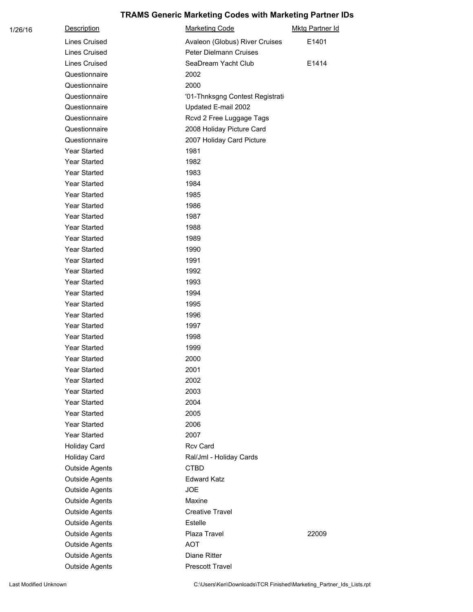| 1/26/16 | <b>Description</b>    | <b>Marketing Code</b>           | <b>Mktg Partner Id</b> |
|---------|-----------------------|---------------------------------|------------------------|
|         | <b>Lines Cruised</b>  | Avaleon (Globus) River Cruises  | E1401                  |
|         | <b>Lines Cruised</b>  | Peter Dielmann Cruises          |                        |
|         | <b>Lines Cruised</b>  | SeaDream Yacht Club             | E1414                  |
|         | Questionnaire         | 2002                            |                        |
|         | Questionnaire         | 2000                            |                        |
|         | Questionnaire         | '01-Thnksgng Contest Registrati |                        |
|         | Questionnaire         | Updated E-mail 2002             |                        |
|         | Questionnaire         | Rcvd 2 Free Luggage Tags        |                        |
|         | Questionnaire         | 2008 Holiday Picture Card       |                        |
|         | Questionnaire         | 2007 Holiday Card Picture       |                        |
|         | Year Started          | 1981                            |                        |
|         | Year Started          | 1982                            |                        |
|         | Year Started          | 1983                            |                        |
|         | Year Started          | 1984                            |                        |
|         | <b>Year Started</b>   | 1985                            |                        |
|         | Year Started          | 1986                            |                        |
|         | <b>Year Started</b>   | 1987                            |                        |
|         | Year Started          | 1988                            |                        |
|         | Year Started          | 1989                            |                        |
|         | Year Started          | 1990                            |                        |
|         | Year Started          | 1991                            |                        |
|         | Year Started          | 1992                            |                        |
|         | Year Started          | 1993                            |                        |
|         | Year Started          | 1994                            |                        |
|         | Year Started          | 1995                            |                        |
|         | Year Started          | 1996                            |                        |
|         | Year Started          | 1997                            |                        |
|         | Year Started          | 1998                            |                        |
|         | Year Started          | 1999                            |                        |
|         | Year Started          | 2000                            |                        |
|         | Year Started          | 2001                            |                        |
|         | Year Started          | 2002                            |                        |
|         | Year Started          | 2003                            |                        |
|         | Year Started          | 2004                            |                        |
|         | Year Started          | 2005                            |                        |
|         | Year Started          | 2006                            |                        |
|         | Year Started          | 2007                            |                        |
|         | Holiday Card          | <b>Rcv Card</b>                 |                        |
|         | Holiday Card          | Ral/Jml - Holiday Cards         |                        |
|         | <b>Outside Agents</b> | <b>CTBD</b>                     |                        |
|         | <b>Outside Agents</b> | <b>Edward Katz</b>              |                        |
|         | <b>Outside Agents</b> | <b>JOE</b>                      |                        |
|         | <b>Outside Agents</b> | Maxine                          |                        |
|         | <b>Outside Agents</b> | <b>Creative Travel</b>          |                        |
|         | <b>Outside Agents</b> | Estelle                         |                        |
|         | <b>Outside Agents</b> | Plaza Travel                    | 22009                  |
|         | <b>Outside Agents</b> | <b>AOT</b>                      |                        |
|         | <b>Outside Agents</b> | Diane Ritter                    |                        |
|         | <b>Outside Agents</b> | Prescott Travel                 |                        |

Last Modified Unknown **C:\Users\Ken\Downloads\TCR Finished\Marketing\_Partner\_Ids\_Lists.rpt**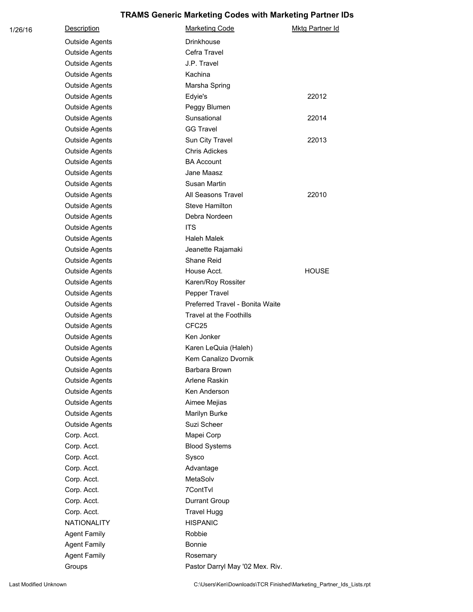| 1/26/16 | <b>Description</b>    | <b>Marketing Code</b>           | <b>Mktg Partner Id</b> |
|---------|-----------------------|---------------------------------|------------------------|
|         | <b>Outside Agents</b> | <b>Drinkhouse</b>               |                        |
|         | <b>Outside Agents</b> | Cefra Travel                    |                        |
|         | <b>Outside Agents</b> | J.P. Travel                     |                        |
|         | <b>Outside Agents</b> | Kachina                         |                        |
|         | <b>Outside Agents</b> | Marsha Spring                   |                        |
|         | <b>Outside Agents</b> | Edyie's                         | 22012                  |
|         | <b>Outside Agents</b> | Peggy Blumen                    |                        |
|         | <b>Outside Agents</b> | Sunsational                     | 22014                  |
|         | <b>Outside Agents</b> | <b>GG Travel</b>                |                        |
|         | Outside Agents        | Sun City Travel                 | 22013                  |
|         | <b>Outside Agents</b> | <b>Chris Adickes</b>            |                        |
|         | <b>Outside Agents</b> | <b>BA Account</b>               |                        |
|         | <b>Outside Agents</b> | Jane Maasz                      |                        |
|         | <b>Outside Agents</b> | Susan Martin                    |                        |
|         | <b>Outside Agents</b> | All Seasons Travel              | 22010                  |
|         | <b>Outside Agents</b> | <b>Steve Hamilton</b>           |                        |
|         | Outside Agents        | Debra Nordeen                   |                        |
|         | <b>Outside Agents</b> | <b>ITS</b>                      |                        |
|         | <b>Outside Agents</b> | <b>Haleh Malek</b>              |                        |
|         | <b>Outside Agents</b> | Jeanette Rajamaki               |                        |
|         | <b>Outside Agents</b> | Shane Reid                      |                        |
|         | <b>Outside Agents</b> | House Acct.                     | <b>HOUSE</b>           |
|         | <b>Outside Agents</b> | Karen/Roy Rossiter              |                        |
|         | <b>Outside Agents</b> | Pepper Travel                   |                        |
|         | <b>Outside Agents</b> | Preferred Travel - Bonita Waite |                        |
|         | <b>Outside Agents</b> | Travel at the Foothills         |                        |
|         | Outside Agents        | CFC <sub>25</sub>               |                        |
|         | <b>Outside Agents</b> | Ken Jonker                      |                        |
|         | <b>Outside Agents</b> | Karen LeQuia (Haleh)            |                        |
|         | <b>Outside Agents</b> | Kem Canalizo Dvornik            |                        |
|         | <b>Outside Agents</b> | Barbara Brown                   |                        |
|         | <b>Outside Agents</b> | Arlene Raskin                   |                        |
|         | <b>Outside Agents</b> | Ken Anderson                    |                        |
|         | <b>Outside Agents</b> | Aimee Mejias                    |                        |
|         | <b>Outside Agents</b> | Marilyn Burke                   |                        |
|         | <b>Outside Agents</b> | Suzi Scheer                     |                        |
|         | Corp. Acct.           | Mapei Corp                      |                        |
|         | Corp. Acct.           | <b>Blood Systems</b>            |                        |
|         | Corp. Acct.           | Sysco                           |                        |
|         | Corp. Acct.           | Advantage                       |                        |
|         | Corp. Acct.           | MetaSolv                        |                        |
|         | Corp. Acct.           | 7ContTvl                        |                        |
|         | Corp. Acct.           | Durrant Group                   |                        |
|         | Corp. Acct.           | <b>Travel Hugg</b>              |                        |
|         | NATIONALITY           | <b>HISPANIC</b>                 |                        |
|         | <b>Agent Family</b>   | Robbie                          |                        |
|         | <b>Agent Family</b>   | Bonnie                          |                        |
|         | <b>Agent Family</b>   | Rosemary                        |                        |
|         | Groups                | Pastor Darryl May '02 Mex. Riv. |                        |

Last Modified Unknown **C:\Users\Ken\Downloads\TCR Finished\Marketing\_Partner\_Ids\_Lists.rpt**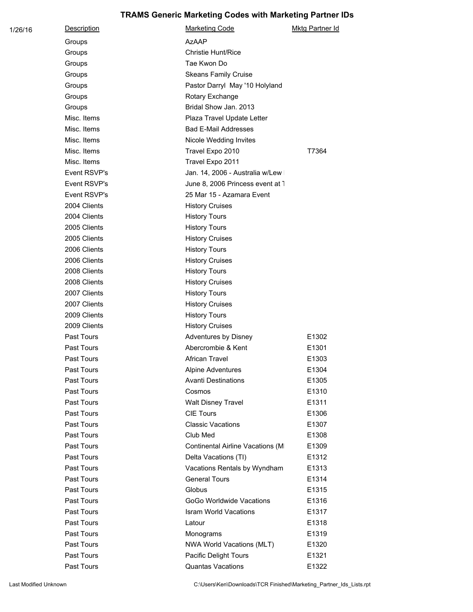| 1/26/16 | Description  | <b>Marketing Code</b>            | <b>Mktg Partner Id</b> |
|---------|--------------|----------------------------------|------------------------|
|         | Groups       | <b>AzAAP</b>                     |                        |
|         | Groups       | Christie Hunt/Rice               |                        |
|         | Groups       | Tae Kwon Do                      |                        |
|         | Groups       | <b>Skeans Family Cruise</b>      |                        |
|         | Groups       | Pastor Darryl May '10 Holyland   |                        |
|         | Groups       | Rotary Exchange                  |                        |
|         | Groups       | Bridal Show Jan. 2013            |                        |
|         | Misc. Items  | Plaza Travel Update Letter       |                        |
|         | Misc. Items  | <b>Bad E-Mail Addresses</b>      |                        |
|         | Misc. Items  | Nicole Wedding Invites           |                        |
|         | Misc. Items  | Travel Expo 2010                 | T7364                  |
|         | Misc. Items  | Travel Expo 2011                 |                        |
|         | Event RSVP's | Jan. 14, 2006 - Australia w/Lew  |                        |
|         | Event RSVP's | June 8, 2006 Princess event at 1 |                        |
|         | Event RSVP's | 25 Mar 15 - Azamara Event        |                        |
|         | 2004 Clients | <b>History Cruises</b>           |                        |
|         | 2004 Clients | <b>History Tours</b>             |                        |
|         | 2005 Clients | <b>History Tours</b>             |                        |
|         | 2005 Clients | <b>History Cruises</b>           |                        |
|         | 2006 Clients | <b>History Tours</b>             |                        |
|         | 2006 Clients | <b>History Cruises</b>           |                        |
|         | 2008 Clients | <b>History Tours</b>             |                        |
|         | 2008 Clients | <b>History Cruises</b>           |                        |
|         | 2007 Clients | <b>History Tours</b>             |                        |
|         | 2007 Clients | <b>History Cruises</b>           |                        |
|         | 2009 Clients | <b>History Tours</b>             |                        |
|         | 2009 Clients | <b>History Cruises</b>           |                        |
|         | Past Tours   | Adventures by Disney             | E1302                  |
|         | Past Tours   | Abercrombie & Kent               | E1301                  |
|         | Past Tours   | African Travel                   | E1303                  |
|         | Past Tours   | Alpine Adventures                | E1304                  |
|         | Past Tours   | <b>Avanti Destinations</b>       | E1305                  |
|         | Past Tours   | Cosmos                           | E1310                  |
|         | Past Tours   | <b>Walt Disney Travel</b>        | E1311                  |
|         | Past Tours   | <b>CIE Tours</b>                 | E1306                  |
|         | Past Tours   | <b>Classic Vacations</b>         | E1307                  |
|         | Past Tours   | Club Med                         | E1308                  |
|         | Past Tours   | Continental Airline Vacations (M | E1309                  |
|         | Past Tours   | Delta Vacations (TI)             | E1312                  |
|         | Past Tours   | Vacations Rentals by Wyndham     | E1313                  |
|         | Past Tours   | <b>General Tours</b>             | E1314                  |
|         | Past Tours   | Globus                           | E1315                  |
|         | Past Tours   | GoGo Worldwide Vacations         | E1316                  |
|         | Past Tours   | <b>Isram World Vacations</b>     | E1317                  |
|         | Past Tours   | Latour                           | E1318                  |
|         | Past Tours   | Monograms                        | E1319                  |
|         | Past Tours   | NWA World Vacations (MLT)        | E1320                  |
|         | Past Tours   | Pacific Delight Tours            | E1321                  |
|         | Past Tours   | Quantas Vacations                | E1322                  |